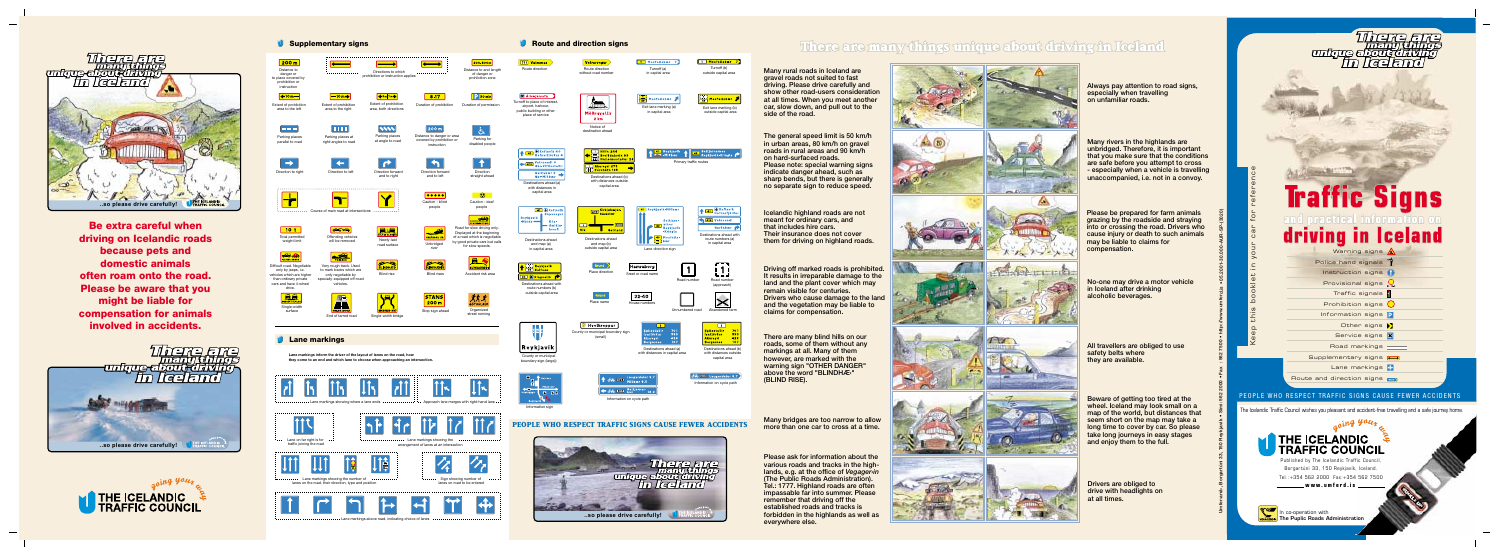**Be extra careful when driving on Icelandic roads because pets and domestic animals often roam onto the road. Please be aware that you might be liable for compensation for animals involved in accidents.**

**Umfer›arrá›, Borgartúni 33, 150 Reykjavík • Sími: 562 2000 • Fax : 562 7500 • http://www.umferd.is • 05.2001-30.000-AUR-SP-(3020)**



## There are many things unique about driving in Iceland

Keep this booklet in your car for reference

The Icelandic Traffic Council wishes you pleasant and accident-free travelling and a safe journey home.

In co-operation with **The Puplic Roads Administration**

**THE ICELANDIC TRAFFIC COUNCIL** Published by The Icelandic Traffic Council, Borgartúni 33, 150 Reykjavík, Iceland. Tel.:+354 562 2000 Fax:+354 562 7500 **www.umferd.is**







**Many rural roads in Iceland are gravel roads not suited to fast driving. Please drive carefully and show other road-users consideration at all times. When you meet another car, slow down, and pull out to the side of the road.**

**The general speed limit is 50 km/h in urban areas, 80 km/h on gravel roads in rural areas and 90 km/h on hard-surfaced roads. Please note: special warning signs indicate danger ahead, such as sharp bends, but there is generally no separate sign to reduce speed.**

**Icelandic highland roads are not meant for ordinary cars, and that includes hire cars. Their insurance does not cover them for driving on highland roads.**

**Driving off marked roads is prohibited. It results in irreparable damage to the land and the plant cover which may remain visible for centuries. Drivers who cause damage to the land and the vegetation may be liable to claims for compensation.**

**There are many blind hills on our roads, some of them without any markings at all. Many of them however, are marked with the warning sign "OTHER DANGER" above the word "BLINDHÆ‹" (BLIND RISE).**

**Many bridges are too narrow to allow more than one car to cross at a time.**

**Please ask for information about the various roads and tracks in the highlands, e.g. at the office of** *Vegager›in* **(The Public Roads Administration). Tel.: 1777. Highland roads are often impassable far into summer. Please remember that driving off the established roads and tracks is forbidden in the highlands as well as everywhere else.**





**Contractor** 











**Always pay attention to road signs, especially when travelling on unfamiliar roads.**

**Many rivers in the highlands are unbridged. Therefore, it is important that you make sure that the conditions are safe before you attempt to cross - especially when a vehicle is travelling unaccompanied, i.e. not in a convoy.**

**Please be prepared for farm animals grazing by the roadside and straying into or crossing the road. Drivers who cause injury or death to such animals may be liable to claims for compensation.**

**No-one may drive a motor vehicle in Iceland after drinking alcoholic beverages.**

**All travellers are obliged to use safety belts where they are available.**

**Beware of getting too tired at the wheel. Iceland may look small on a map of the world, but distances that seem short on the map may take a long time to cover by car. So please take long journeys in easy stages and enjoy them to the full.**

**Drivers are obliged to drive with headlights on at all times.**

## Threne Fire<br>Thema diamos<br>The Lee Front Chiving<br>The Lee Fried

## **Traffic Signs** driving in Iceland

## PEOPLE WHO RESPECT TRAFFIC SIGNS CAUSE FEWER ACCIDENTS

| Warning signs A                        |  |
|----------------------------------------|--|
| Police hand signals                    |  |
| Instruction signs (                    |  |
| Provisional signs $Q$ ,                |  |
| Traffic signals $\beta$                |  |
| Prohibition signs $\bigcup$            |  |
| Information signs P                    |  |
| Other signs $\sum$                     |  |
| Service signs 8                        |  |
| Road markings                          |  |
| Supplementary signs                    |  |
| Lane markings                          |  |
| Route and direction signs <b>Route</b> |  |
|                                        |  |